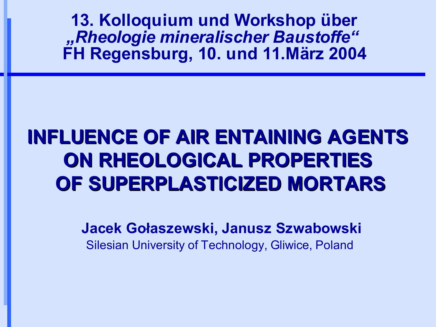**13. Kolloquium und Workshop über** *"Rheologie mineralischer Baustoffe"* **FH Regensburg, 10. und 11.März 2004**

# **INFLUENCE OF AIR ENTAINING AGENTS ON RHEOLOGICAL PROPERTIES OF SUPERPLASTICIZED MORTARS**

**Jacek Gołaszewski, Janusz Szwabowski**

Silesian University of Technology, Gliwice, Poland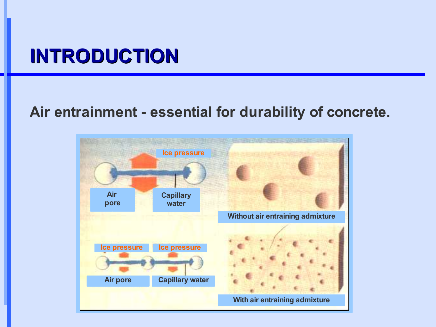#### **INTRODUCTION**

#### **Air entrainment - essential for durability of concrete.**

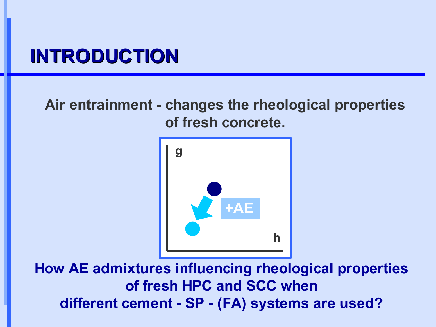#### **INTRODUCTION**

#### **Air entrainment - changes the rheological properties of fresh concrete.**



**How AE admixtures influencing rheological properties of fresh HPC and SCC when different cement - SP - (FA) systems are used?**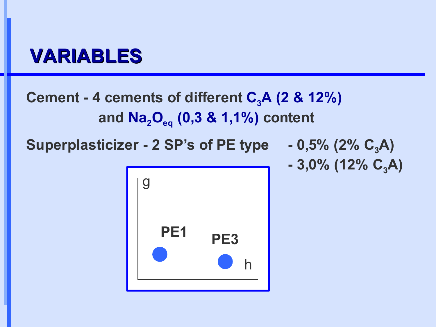#### **VARIABLES**

#### **Cement - 4 cements of different C3A (2 & 12%) and Na2Oeq (0,3 & 1,1%) content**

**Superplasticizer - 2 SP's of PE type - 0,5% (2% C3A)**

**- 3,0% (12% C3A)**

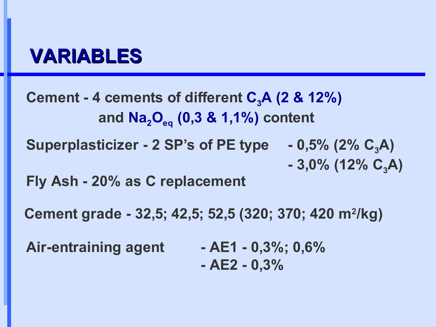#### **VARIABLES**

**Cement - 4 cements of different C3A (2 & 12%) and Na2Oeq (0,3 & 1,1%) content Superplasticizer - 2 SP's of PE type - 0,5% (2% C3A) - 3,0% (12% C3A) Fly Ash - 20% as C replacement**

**Cement grade - 32,5; 42,5; 52,5 (320; 370; 420 m<sup>2</sup> /kg)**

**Air-entraining agent - AE1 - 0,3%; 0,6% - AE2 - 0,3%**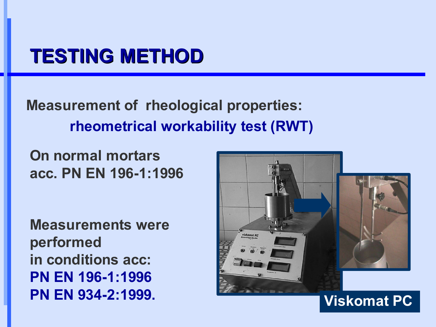#### **TESTING METHOD**

**Measurement of rheological properties: rheometrical workability test (RWT)**

**On normal mortars acc. PN EN 196-1:1996**

**Measurements were performed in conditions acc: PN EN 196-1:1996 PN EN 934-2:1999.**

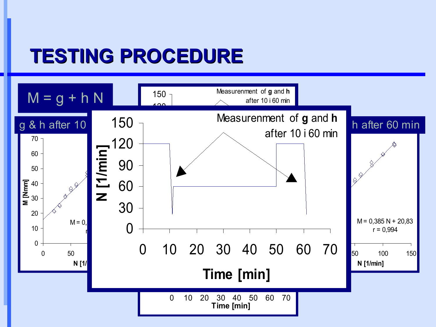# **TESTING PROCEDURE**

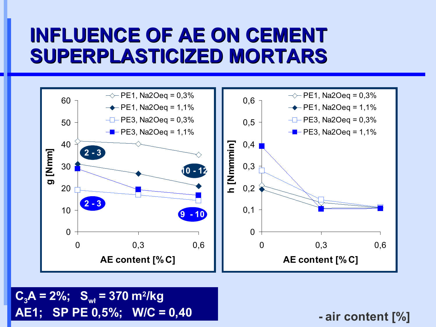

 $C_3$ **A** = 2%;  $S_{wt}$  = 370 m<sup>2</sup>/kg **AE1; SP PE 0,5%; W/C = 0,40**

**- air content [%]**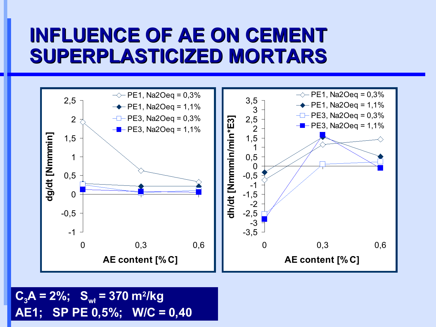

 $C_3$ **A** = 2%;  $S_{wt}$  = 370 m<sup>2</sup>/kg **AE1; SP PE 0,5%; W/C = 0,40**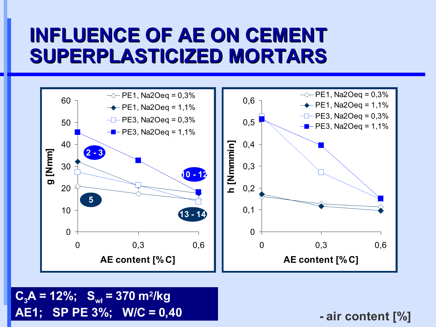

 $C_3$ **A** = 12%;  $S_{wt}$  = 370 m<sup>2</sup>/kg **AE1; SP PE 3%; W/C = 0,40**

**- air content [%]**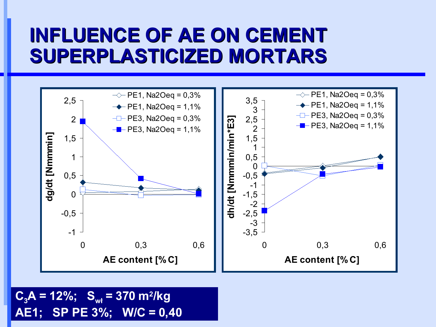

 $C_3$ **A** = 12%;  $S_{wt}$  = 370 m<sup>2</sup>/kg **AE1; SP PE 3%; W/C = 0,40**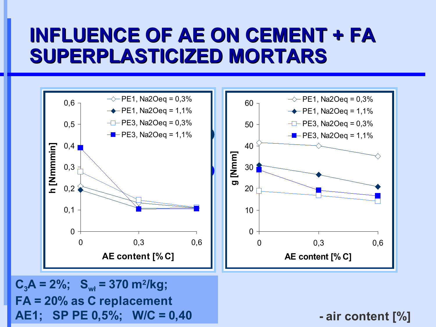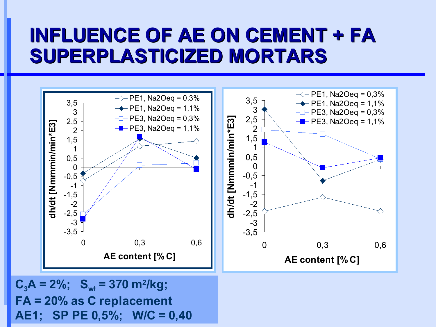

**FA = 20% as C replacement AE1; SP PE 0,5%; W/C = 0,40**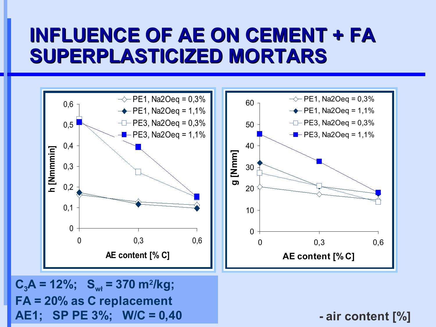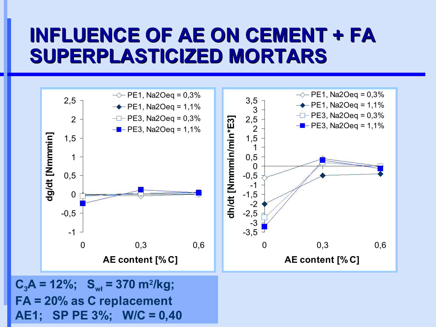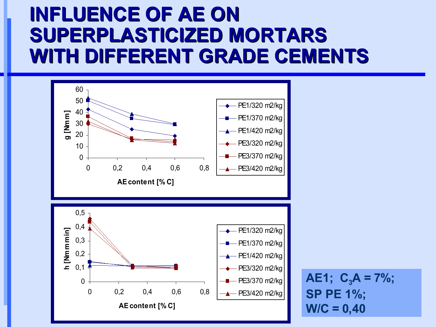# **INFLUENCE OF AE ON SUPERPLASTICIZED MORTARS WITH DIFFERENT GRADE CEMENTS**



**AE1;**  $C_3A = 7\%$ ; **SP PE 1%;**  $W/C = 0,40$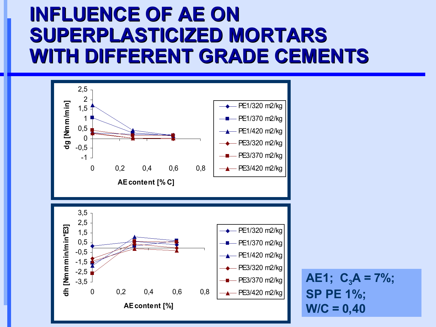# **INFLUENCE OF AE ON SUPERPLASTICIZED MORTARS WITH DIFFERENT GRADE CEMENTS**



AE1; 
$$
C_3A = 7\%
$$
;  
SP PE 1%;  
W/C = 0,40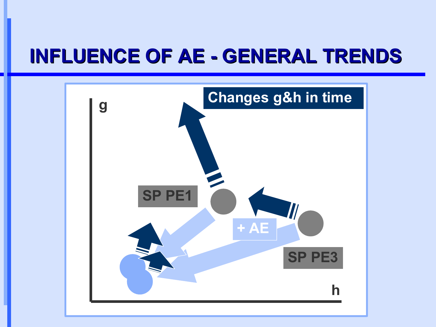# **INFLUENCE OF AE - GENERAL TRENDS**

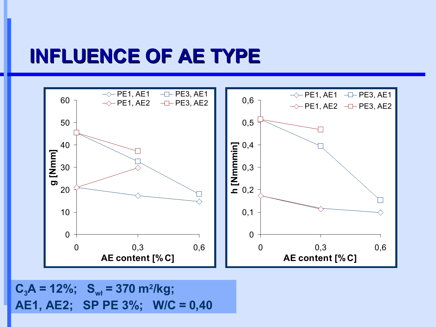#### **INFLUENCE OF AE TYPE**



 $C_3$ **A** = 12%;  $S_{wt}$  = 370 m<sup>2</sup>/kg; **AE1, AE2; SP PE 3%; W/C = 0,40**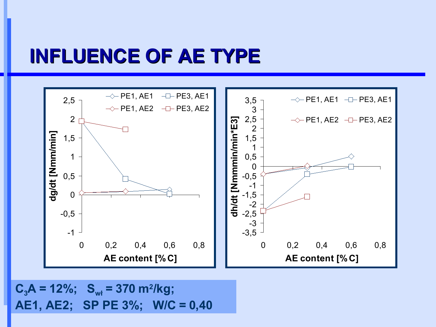#### **INFLUENCE OF AE TYPE**



 $C_3$ **A** = 12%;  $S_{wt}$  = 370 m<sup>2</sup>/kg; **AE1, AE2; SP PE 3%; W/C = 0,40**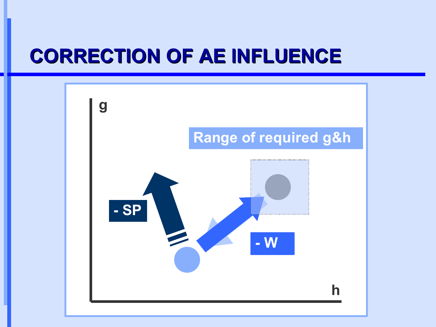# **CORRECTION OF AE INFLUENCE**

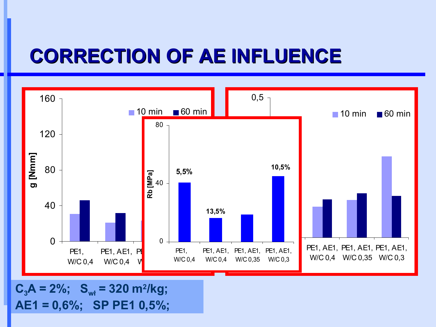# **CORRECTION OF AE INFLUENCE**



 $C_3$ **A** = 2%;  $S_{wt}$  = 320 m<sup>2</sup>/kg; **AE1 = 0,6%; SP PE1 0,5%;**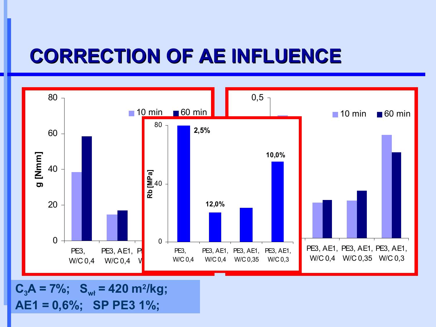# **CORRECTION OF AE INFLUENCE**



 $C_3$ **A** = 7%;  $S_{wt}$  = 420 m<sup>2</sup>/kg; **AE1 = 0,6%; SP PE3 1%;**